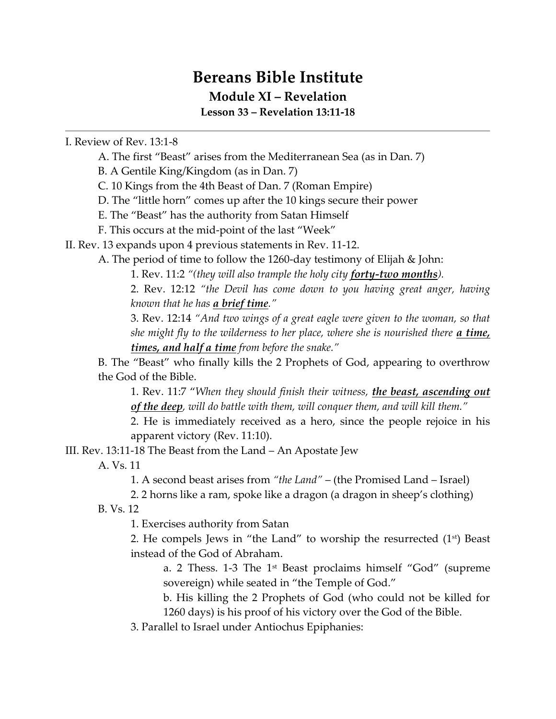## **Bereans Bible Institute Module XI – Revelation**

**Lesson 33 – Revelation 13:11-18**

I. Review of Rev. 13:1-8

A. The first "Beast" arises from the Mediterranean Sea (as in Dan. 7)

B. A Gentile King/Kingdom (as in Dan. 7)

C. 10 Kings from the 4th Beast of Dan. 7 (Roman Empire)

D. The "little horn" comes up after the 10 kings secure their power

E. The "Beast" has the authority from Satan Himself

F. This occurs at the mid-point of the last "Week"

II. Rev. 13 expands upon 4 previous statements in Rev. 11-12.

A. The period of time to follow the 1260-day testimony of Elijah & John:

1. Rev. 11:2 *"(they will also trample the holy city forty-two months).*

2. Rev. 12:12 *"the Devil has come down to you having great anger, having known that he has a brief time."*

3. Rev. 12:14 *"And two wings of a great eagle were given to the woman, so that she might fly to the wilderness to her place, where she is nourished there <i>a time times, and half a time from before the snake."*

B. The "Beast" who finally kills the 2 Prophets of God, appearing to overthrow the God of the Bible.

1. Rev. 11:7 "*When they should finish their witness, the beast, ascending out of the deep, will do battle with them, will conquer them, and will kill them."*

2. He is immediately received as a hero, since the people rejoice in his apparent victory (Rev. 11:10).

III. Rev. 13:11-18 The Beast from the Land – An Apostate Jew

A. Vs. 11

1. A second beast arises from *"the Land"* – (the Promised Land – Israel)

2. 2 horns like a ram, spoke like a dragon (a dragon in sheep's clothing)

B. Vs. 12

1. Exercises authority from Satan

2. He compels Jews in "the Land" to worship the resurrected  $(1<sup>st</sup>)$  Beast instead of the God of Abraham.

a. 2 Thess. 1-3 The 1st Beast proclaims himself "God" (supreme sovereign) while seated in "the Temple of God."

b. His killing the 2 Prophets of God (who could not be killed for 1260 days) is his proof of his victory over the God of the Bible.

3. Parallel to Israel under Antiochus Epiphanies: